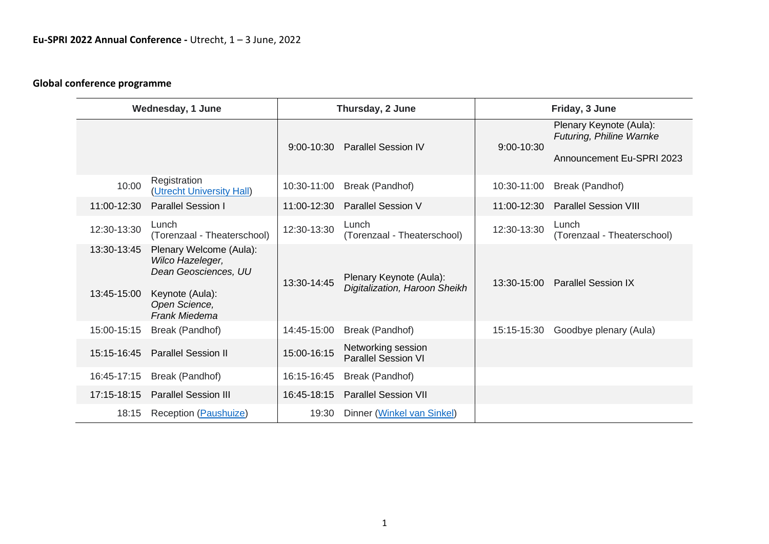## **Global conference programme**

|                            | <b>Wednesday, 1 June</b>                                                                                                 |                | Thursday, 2 June                                         | Friday, 3 June |                                                                                  |  |
|----------------------------|--------------------------------------------------------------------------------------------------------------------------|----------------|----------------------------------------------------------|----------------|----------------------------------------------------------------------------------|--|
|                            |                                                                                                                          | $9:00 - 10:30$ | <b>Parallel Session IV</b>                               | 9:00-10:30     | Plenary Keynote (Aula):<br>Futuring, Philine Warnke<br>Announcement Eu-SPRI 2023 |  |
| 10:00                      | Registration<br>(Utrecht University Hall)                                                                                | 10:30-11:00    | Break (Pandhof)                                          | 10:30-11:00    | Break (Pandhof)                                                                  |  |
| 11:00-12:30                | <b>Parallel Session I</b>                                                                                                | 11:00-12:30    | <b>Parallel Session V</b>                                | 11:00-12:30    | <b>Parallel Session VIII</b>                                                     |  |
| 12:30-13:30                | Lunch<br>(Torenzaal - Theaterschool)                                                                                     | 12:30-13:30    | Lunch<br>(Torenzaal - Theaterschool)                     | 12:30-13:30    | Lunch<br>(Torenzaal - Theaterschool)                                             |  |
| 13:30-13:45<br>13:45-15:00 | Plenary Welcome (Aula):<br>Wilco Hazeleger,<br>Dean Geosciences, UU<br>Keynote (Aula):<br>Open Science,<br>Frank Miedema | 13:30-14:45    | Plenary Keynote (Aula):<br>Digitalization, Haroon Sheikh | 13:30-15:00    | <b>Parallel Session IX</b>                                                       |  |
| 15:00-15:15                | Break (Pandhof)                                                                                                          | 14:45-15:00    | Break (Pandhof)                                          | 15:15-15:30    | Goodbye plenary (Aula)                                                           |  |
| 15:15-16:45                | <b>Parallel Session II</b>                                                                                               | 15:00-16:15    | Networking session<br><b>Parallel Session VI</b>         |                |                                                                                  |  |
| 16:45-17:15                | Break (Pandhof)                                                                                                          | 16:15-16:45    | Break (Pandhof)                                          |                |                                                                                  |  |
| 17:15-18:15                | <b>Parallel Session III</b>                                                                                              | 16:45-18:15    | <b>Parallel Session VII</b>                              |                |                                                                                  |  |
| 18:15                      | Reception (Paushuize)                                                                                                    | 19:30          | Dinner (Winkel van Sinkel)                               |                |                                                                                  |  |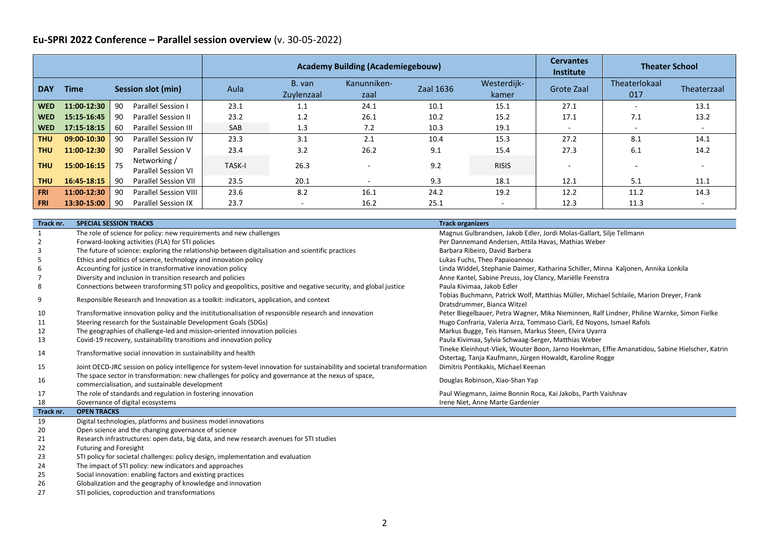## **Eu-SPRI 2022 Conference – Parallel session overview** (v. 30-05-2022)

|            |             |    |                                            |               |                          | <b>Academy Building (Academiegebouw)</b> |           | <b>Cervantes</b><br>Institute | <b>Theater School</b>    |                      |             |
|------------|-------------|----|--------------------------------------------|---------------|--------------------------|------------------------------------------|-----------|-------------------------------|--------------------------|----------------------|-------------|
| <b>DAY</b> | <b>Time</b> |    | Session slot (min)                         | Aula          | B. van<br>Zuylenzaal     | Kanunniken-<br>zaal                      | Zaal 1636 | Westerdijk-<br>kamer          | <b>Grote Zaal</b>        | Theaterlokaal<br>017 | Theaterzaal |
| <b>WED</b> | 11:00-12:30 | 90 | Parallel Session I                         | 23.1          | 1.1                      | 24.1                                     | 10.1      | 15.1                          | 27.1                     |                      | 13.1        |
| <b>WED</b> | 15:15-16:45 | 90 | <b>Parallel Session II</b>                 | 23.2          | 1.2                      | 26.1                                     | 10.2      | 15.2                          | 17.1                     | 7.1                  | 13.2        |
| <b>WED</b> | 17:15-18:15 | 60 | Parallel Session III                       | SAB           | 1.3                      | 7.2                                      | 10.3      | 19.1                          | $\overline{\phantom{0}}$ |                      | $\sim$      |
| <b>THU</b> | 09:00-10:30 | 90 | <b>Parallel Session IV</b>                 | 23.3          | 3.1                      | 2.1                                      | 10.4      | 15.3                          | 27.2                     | 8.1                  | 14.1        |
| <b>THU</b> | 11:00-12:30 | 90 | Parallel Session V                         | 23.4          | 3.2                      | 26.2                                     | 9.1       | 15.4                          | 27.3                     | 6.1                  | 14.2        |
| <b>THU</b> | 15:00-16:15 |    | Networking /<br><b>Parallel Session VI</b> | <b>TASK-I</b> | 26.3                     | <b>1</b>                                 | 9.2       | <b>RISIS</b>                  |                          |                      |             |
| <b>THU</b> | 16:45-18:15 | 90 | Parallel Session VII                       | 23.5          | 20.1                     |                                          | 9.3       | 18.1                          | 12.1                     | 5.1                  | 11.1        |
| <b>FRI</b> | 11:00-12:30 | 90 | <b>Parallel Session VIII</b>               | 23.6          | 8.2                      | 16.1                                     | 24.2      | 19.2                          | 12.2                     | 11.2                 | 14.3        |
| <b>FRI</b> | 13:30-15:00 | 90 | <b>Parallel Session IX</b>                 | 23.7          | $\overline{\phantom{a}}$ | 16.2                                     | 25.1      | $\sim$                        | 12.3                     | 11.3                 |             |

| Track nr. | <b>SPECIAL SESSION TRACKS</b>                                                                                                                         | <b>Track organizers</b>                                                                                                                                    |
|-----------|-------------------------------------------------------------------------------------------------------------------------------------------------------|------------------------------------------------------------------------------------------------------------------------------------------------------------|
|           | The role of science for policy: new requirements and new challenges                                                                                   | Magnus Gulbrandsen, Jakob Edler, Jordi Molas-Gallart, Silje Tellmann                                                                                       |
| 2         | Forward-looking activities (FLA) for STI policies                                                                                                     | Per Dannemand Andersen, Attila Havas, Mathias Weber                                                                                                        |
| 3         | The future of science: exploring the relationship between digitalisation and scientific practices                                                     | Barbara Ribeiro, David Barbera                                                                                                                             |
| 5         | Ethics and politics of science, technology and innovation policy                                                                                      | Lukas Fuchs, Theo Papaioannou                                                                                                                              |
| 6         | Accounting for justice in transformative innovation policy                                                                                            | Linda Widdel, Stephanie Daimer, Katharina Schiller, Minna Kaljonen, Annika Lonkila                                                                         |
|           | Diversity and inclusion in transition research and policies                                                                                           | Anne Kantel, Sabine Preuss, Joy Clancy, Mariëlle Feenstra                                                                                                  |
| 8         | Connections between transforming STI policy and geopolitics, positive and negative security, and global justice                                       | Paula Kivimaa, Jakob Edler                                                                                                                                 |
| 9         | Responsible Research and Innovation as a toolkit: indicators, application, and context                                                                | Tobias Buchmann, Patrick Wolf, Matthias Müller, Michael Schlaile, Marion Dreyer, Frank<br>Dratsdrummer, Bianca Witzel                                      |
| 10        | Transformative innovation policy and the institutionalisation of responsible research and innovation                                                  | Peter Biegelbauer, Petra Wagner, Mika Nieminnen, Ralf Lindner, Philine Warnke, Simon Fielke                                                                |
| 11        | Steering research for the Sustainable Development Goals (SDGs)                                                                                        | Hugo Confraria, Valeria Arza, Tommaso Ciarli, Ed Noyons, Ismael Rafols                                                                                     |
| 12        | The geographies of challenge-led and mission-oriented innovation policies                                                                             | Markus Bugge, Teis Hansen, Markus Steen, Elvira Uyarra                                                                                                     |
| 13        | Covid-19 recovery, sustainability transitions and innovation policy                                                                                   | Paula Kivimaa, Sylvia Schwaag-Serger, Matthias Weber                                                                                                       |
| 14        | Transformative social innovation in sustainability and health                                                                                         | Tineke Kleinhout-Vliek, Wouter Boon, Jarno Hoekman, Effie Amanatidou, Sabine Hielscher, Katrin<br>Ostertag, Tanja Kaufmann, Jürgen Howaldt, Karoline Rogge |
| 15        | Joint OECD-JRC session on policy intelligence for system-level innovation for sustainability and societal transformation                              | Dimitris Pontikakis, Michael Keenan                                                                                                                        |
| 16        | The space sector in transformation: new challenges for policy and governance at the nexus of space,<br>commercialisation, and sustainable development | Douglas Robinson, Xiao-Shan Yap                                                                                                                            |
| 17        | The role of standards and regulation in fostering innovation                                                                                          | Paul Wiegmann, Jaime Bonnin Roca, Kai Jakobs, Parth Vaishnav                                                                                               |
| 18        | Governance of digital ecosystems                                                                                                                      | Irene Niet, Anne Marte Gardenier                                                                                                                           |
| Track nr. | <b>OPEN TRACKS</b>                                                                                                                                    |                                                                                                                                                            |
| 19        | Digital technologies, platforms and business model innovations                                                                                        |                                                                                                                                                            |
| 20        | Open science and the changing governance of science                                                                                                   |                                                                                                                                                            |
| 21        | Research infrastructures: open data, big data, and new research avenues for STI studies                                                               |                                                                                                                                                            |
| 22        | <b>Futuring and Foresight</b>                                                                                                                         |                                                                                                                                                            |
| 23        | STI policy for societal challenges: policy design, implementation and evaluation                                                                      |                                                                                                                                                            |
| 24        | The impact of STI policy: new indicators and approaches                                                                                               |                                                                                                                                                            |
|           |                                                                                                                                                       |                                                                                                                                                            |

- 25 Social innovation: enabling factors and existing practices<br>26 Globalization and the geography of knowledge and innova
- 26 Globalization and the geography of knowledge and innovation<br>27 STI policies, coproduction and transformations STI policies, coproduction and transformations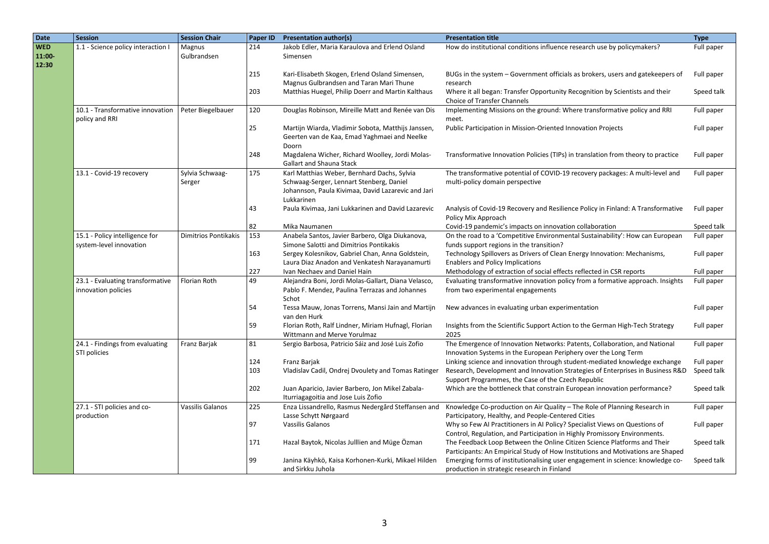| <b>Date</b> | <b>Session</b>                                          | <b>Session Chair</b>        | Paper ID | <b>Presentation author(s)</b>                                                                                                                               | <b>Presentation title</b>                                                                                                                                   | <b>Type</b> |
|-------------|---------------------------------------------------------|-----------------------------|----------|-------------------------------------------------------------------------------------------------------------------------------------------------------------|-------------------------------------------------------------------------------------------------------------------------------------------------------------|-------------|
| <b>WED</b>  | 1.1 - Science policy interaction I                      | Magnus                      | 214      | Jakob Edler, Maria Karaulova and Erlend Osland                                                                                                              | How do institutional conditions influence research use by policymakers?                                                                                     | Full paper  |
| 11:00-      |                                                         | Gulbrandsen                 |          | Simensen                                                                                                                                                    |                                                                                                                                                             |             |
| 12:30       |                                                         |                             |          |                                                                                                                                                             |                                                                                                                                                             |             |
|             |                                                         |                             | 215      | Kari-Elisabeth Skogen, Erlend Osland Simensen,                                                                                                              | BUGs in the system – Government officials as brokers, users and gatekeepers of                                                                              | Full paper  |
|             |                                                         |                             |          | Magnus Gulbrandsen and Taran Mari Thune                                                                                                                     | research                                                                                                                                                    |             |
|             |                                                         |                             | 203      | Matthias Huegel, Philip Doerr and Martin Kalthaus                                                                                                           | Where it all began: Transfer Opportunity Recognition by Scientists and their<br>Choice of Transfer Channels                                                 | Speed talk  |
|             | 10.1 - Transformative innovation<br>policy and RRI      | Peter Biegelbauer           | 120      | Douglas Robinson, Mireille Matt and Renée van Dis                                                                                                           | Implementing Missions on the ground: Where transformative policy and RRI<br>meet.                                                                           | Full paper  |
|             |                                                         |                             | 25       | Martijn Wiarda, Vladimir Sobota, Matthijs Janssen,<br>Geerten van de Kaa, Emad Yaghmaei and Neelke<br>Doorn                                                 | Public Participation in Mission-Oriented Innovation Projects                                                                                                | Full paper  |
|             |                                                         |                             | 248      | Magdalena Wicher, Richard Woolley, Jordi Molas-<br><b>Gallart and Shauna Stack</b>                                                                          | Transformative Innovation Policies (TIPs) in translation from theory to practice                                                                            | Full paper  |
|             | 13.1 - Covid-19 recovery                                | Sylvia Schwaag-<br>Serger   | 175      | Karl Matthias Weber, Bernhard Dachs, Sylvia<br>Schwaag-Serger, Lennart Stenberg, Daniel<br>Johannson, Paula Kivimaa, David Lazarevic and Jari<br>Lukkarinen | The transformative potential of COVID-19 recovery packages: A multi-level and<br>multi-policy domain perspective                                            | Full paper  |
|             |                                                         |                             | 43       | Paula Kivimaa, Jani Lukkarinen and David Lazarevic                                                                                                          | Analysis of Covid-19 Recovery and Resilience Policy in Finland: A Transformative<br>Policy Mix Approach                                                     | Full paper  |
|             |                                                         |                             | 82       | Mika Naumanen                                                                                                                                               | Covid-19 pandemic's impacts on innovation collaboration                                                                                                     | Speed talk  |
|             | 15.1 - Policy intelligence for                          | <b>Dimitrios Pontikakis</b> | 153      | Anabela Santos, Javier Barbero, Olga Diukanova,                                                                                                             | On the road to a 'Competitive Environmental Sustainability': How can European                                                                               | Full paper  |
|             | system-level innovation                                 |                             |          | Simone Salotti and Dimitrios Pontikakis                                                                                                                     | funds support regions in the transition?                                                                                                                    |             |
|             |                                                         |                             | 163      | Sergey Kolesnikov, Gabriel Chan, Anna Goldstein,                                                                                                            | Technology Spillovers as Drivers of Clean Energy Innovation: Mechanisms,                                                                                    | Full paper  |
|             |                                                         |                             |          | Laura Diaz Anadon and Venkatesh Narayanamurti                                                                                                               | <b>Enablers and Policy Implications</b>                                                                                                                     |             |
|             |                                                         |                             | 227      | Ivan Nechaev and Daniel Hain                                                                                                                                | Methodology of extraction of social effects reflected in CSR reports                                                                                        | Full paper  |
|             | 23.1 - Evaluating transformative<br>innovation policies | Florian Roth                | 49       | Alejandra Boni, Jordi Molas-Gallart, Diana Velasco,<br>Pablo F. Mendez, Paulina Terrazas and Johannes<br>Schot                                              | Evaluating transformative innovation policy from a formative approach. Insights<br>from two experimental engagements                                        | Full paper  |
|             |                                                         |                             | 54       | Tessa Mauw, Jonas Torrens, Mansi Jain and Martijn<br>van den Hurk                                                                                           | New advances in evaluating urban experimentation                                                                                                            | Full paper  |
|             |                                                         |                             | 59       | Florian Roth, Ralf Lindner, Miriam Hufnagl, Florian<br>Wittmann and Merve Yorulmaz                                                                          | Insights from the Scientific Support Action to the German High-Tech Strategy<br>2025                                                                        | Full paper  |
|             | 24.1 - Findings from evaluating<br>STI policies         | Franz Barjak                | 81       | Sergio Barbosa, Patricio Sáiz and José Luis Zofio                                                                                                           | The Emergence of Innovation Networks: Patents, Collaboration, and National<br>Innovation Systems in the European Periphery over the Long Term               | Full paper  |
|             |                                                         |                             | 124      | Franz Barjak                                                                                                                                                | Linking science and innovation through student-mediated knowledge exchange                                                                                  | Full paper  |
|             |                                                         |                             | 103      | Vladislav Cadil, Ondrej Dvoulety and Tomas Ratinger                                                                                                         | Research, Development and Innovation Strategies of Enterprises in Business R&D<br>Support Programmes, the Case of the Czech Republic                        | Speed talk  |
|             |                                                         |                             | 202      | Juan Aparicio, Javier Barbero, Jon Mikel Zabala-<br>Iturriagagoitia and Jose Luis Zofio                                                                     | Which are the bottleneck that constrain European innovation performance?                                                                                    | Speed talk  |
|             | 27.1 - STI policies and co-                             | Vassilis Galanos            | 225      | Enza Lissandrello, Rasmus Nedergård Steffansen and                                                                                                          | Knowledge Co-production on Air Quality - The Role of Planning Research in                                                                                   | Full paper  |
|             | production                                              |                             |          | Lasse Schytt Nørgaard                                                                                                                                       | Participatory, Healthy, and People-Centered Cities                                                                                                          |             |
|             |                                                         |                             | 97       | Vassilis Galanos                                                                                                                                            | Why so Few AI Practitioners in AI Policy? Specialist Views on Questions of<br>Control, Regulation, and Participation in Highly Promissory Environments.     | Full paper  |
|             |                                                         |                             | 171      | Hazal Baytok, Nicolas Julllien and Müge Özman                                                                                                               | The Feedback Loop Between the Online Citizen Science Platforms and Their<br>Participants: An Empirical Study of How Institutions and Motivations are Shaped | Speed talk  |
|             |                                                         |                             | 99       | Janina Käyhkö, Kaisa Korhonen-Kurki, Mikael Hilden<br>and Sirkku Juhola                                                                                     | Emerging forms of institutionalising user engagement in science: knowledge co-<br>production in strategic research in Finland                               | Speed talk  |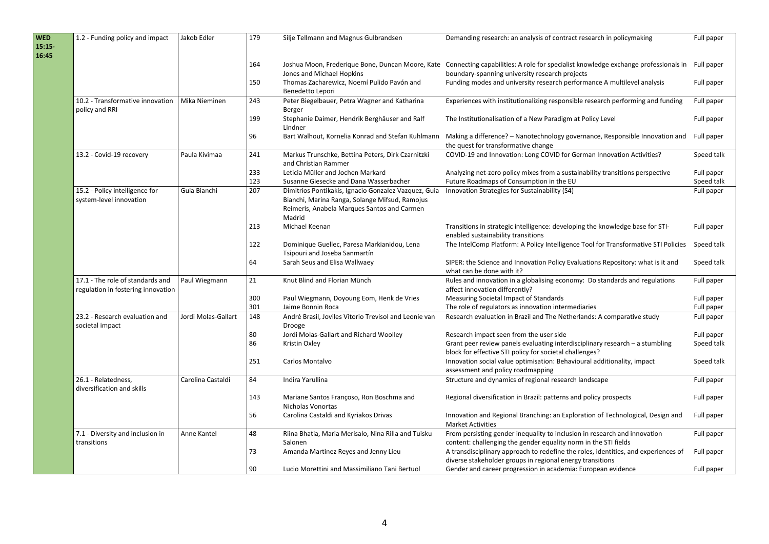| <b>WED</b><br>15:15<br>16:45 | 1.2 - Funding policy and impact                                        | Jakob Edler         | 179 | Silje Tellmann and Magnus Gulbrandsen                                                                                                                           | Demanding research: an analysis of contract research in policymaking                                                                                                                             | Full paper |
|------------------------------|------------------------------------------------------------------------|---------------------|-----|-----------------------------------------------------------------------------------------------------------------------------------------------------------------|--------------------------------------------------------------------------------------------------------------------------------------------------------------------------------------------------|------------|
|                              |                                                                        |                     | 164 | Jones and Michael Hopkins                                                                                                                                       | Joshua Moon, Frederique Bone, Duncan Moore, Kate Connecting capabilities: A role for specialist knowledge exchange professionals in Full paper<br>boundary-spanning university research projects |            |
|                              |                                                                        |                     | 150 | Thomas Zacharewicz, Noemí Pulido Pavón and<br>Benedetto Lepori                                                                                                  | Funding modes and university research performance A multilevel analysis                                                                                                                          | Full paper |
|                              | 10.2 - Transformative innovation<br>policy and RRI                     | Mika Nieminen       | 243 | Peter Biegelbauer, Petra Wagner and Katharina<br>Berger                                                                                                         | Experiences with institutionalizing responsible research performing and funding                                                                                                                  | Full paper |
|                              |                                                                        |                     | 199 | Stephanie Daimer, Hendrik Berghäuser and Ralf<br>Lindner                                                                                                        | The Institutionalisation of a New Paradigm at Policy Level                                                                                                                                       | Full paper |
|                              |                                                                        |                     | 96  |                                                                                                                                                                 | Bart Walhout, Kornelia Konrad and Stefan Kuhlmann Making a difference? - Nanotechnology governance, Responsible Innovation and Full paper<br>the quest for transformative change                 |            |
|                              | 13.2 - Covid-19 recovery                                               | Paula Kivimaa       | 241 | Markus Trunschke, Bettina Peters, Dirk Czarnitzki<br>and Christian Rammer                                                                                       | COVID-19 and Innovation: Long COVID for German Innovation Activities?                                                                                                                            | Speed talk |
|                              |                                                                        |                     | 233 | Leticia Müller and Jochen Markard                                                                                                                               | Analyzing net-zero policy mixes from a sustainability transitions perspective                                                                                                                    | Full paper |
|                              |                                                                        |                     | 123 | Susanne Giesecke and Dana Wasserbacher                                                                                                                          | Future Roadmaps of Consumption in the EU                                                                                                                                                         | Speed talk |
|                              | 15.2 - Policy intelligence for<br>system-level innovation              | Guia Bianchi        | 207 | Dimitrios Pontikakis, Ignacio Gonzalez Vazquez, Guia<br>Bianchi, Marina Ranga, Solange Mifsud, Ramojus<br>Reimeris, Anabela Marques Santos and Carmen<br>Madrid | Innovation Strategies for Sustainability (S4)                                                                                                                                                    | Full paper |
|                              |                                                                        |                     | 213 | Michael Keenan                                                                                                                                                  | Transitions in strategic intelligence: developing the knowledge base for STI-<br>enabled sustainability transitions                                                                              | Full paper |
|                              |                                                                        |                     | 122 | Dominique Guellec, Paresa Markianidou, Lena<br>Tsipouri and Joseba Sanmartín                                                                                    | The IntelComp Platform: A Policy Intelligence Tool for Transformative STI Policies                                                                                                               | Speed talk |
|                              |                                                                        |                     | 64  | Sarah Seus and Elisa Wallwaey                                                                                                                                   | SIPER: the Science and Innovation Policy Evaluations Repository: what is it and<br>what can be done with it?                                                                                     | Speed talk |
|                              | 17.1 - The role of standards and<br>regulation in fostering innovation | Paul Wiegmann       | 21  | Knut Blind and Florian Münch                                                                                                                                    | Rules and innovation in a globalising economy: Do standards and regulations<br>affect innovation differently?                                                                                    | Full paper |
|                              |                                                                        |                     | 300 | Paul Wiegmann, Doyoung Eom, Henk de Vries                                                                                                                       | Measuring Societal Impact of Standards                                                                                                                                                           | Full paper |
|                              |                                                                        |                     | 301 | Jaime Bonnin Roca                                                                                                                                               | The role of regulators as innovation intermediaries                                                                                                                                              | Full paper |
|                              | 23.2 - Research evaluation and<br>societal impact                      | Jordi Molas-Gallart | 148 | André Brasil, Joviles Vitorio Trevisol and Leonie van<br>Drooge                                                                                                 | Research evaluation in Brazil and The Netherlands: A comparative study                                                                                                                           | Full paper |
|                              |                                                                        |                     | 80  | Jordi Molas-Gallart and Richard Woolley                                                                                                                         | Research impact seen from the user side                                                                                                                                                          | Full paper |
|                              |                                                                        |                     | 86  | Kristin Oxley                                                                                                                                                   | Grant peer review panels evaluating interdisciplinary research - a stumbling<br>block for effective STI policy for societal challenges?                                                          | Speed talk |
|                              |                                                                        |                     | 251 | Carlos Montalvo                                                                                                                                                 | Innovation social value optimisation: Behavioural additionality, impact<br>assessment and policy roadmapping                                                                                     | Speed talk |
|                              | 26.1 - Relatedness,<br>diversification and skills                      | Carolina Castaldi   | 84  | Indira Yarullina                                                                                                                                                | Structure and dynamics of regional research landscape                                                                                                                                            | Full paper |
|                              |                                                                        |                     | 143 | Mariane Santos Françoso, Ron Boschma and<br>Nicholas Vonortas                                                                                                   | Regional diversification in Brazil: patterns and policy prospects                                                                                                                                | Full paper |
|                              |                                                                        |                     | 56  | Carolina Castaldi and Kyriakos Drivas                                                                                                                           | Innovation and Regional Branching: an Exploration of Technological, Design and<br><b>Market Activities</b>                                                                                       | Full paper |
|                              | 7.1 - Diversity and inclusion in<br>transitions                        | Anne Kantel         | 48  | Riina Bhatia, Maria Merisalo, Nina Rilla and Tuisku<br>Salonen                                                                                                  | From persisting gender inequality to inclusion in research and innovation<br>content: challenging the gender equality norm in the STI fields                                                     | Full paper |
|                              |                                                                        |                     | 73  | Amanda Martinez Reyes and Jenny Lieu                                                                                                                            | A transdisciplinary approach to redefine the roles, identities, and experiences of<br>diverse stakeholder groups in regional energy transitions                                                  | Full paper |
|                              |                                                                        |                     | 90  | Lucio Morettini and Massimiliano Tani Bertuol                                                                                                                   | Gender and career progression in academia: European evidence                                                                                                                                     | Full paper |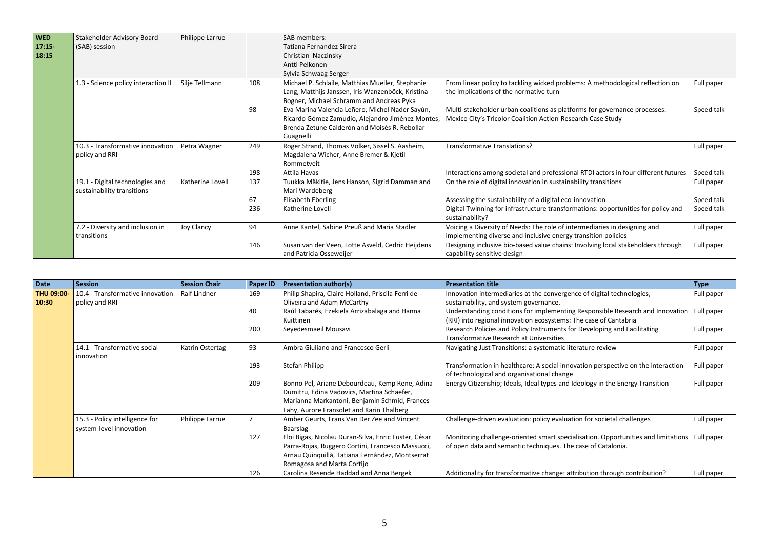| <b>WED</b> | Stakeholder Advisory Board          | Philippe Larrue  |     | SAB members:                                      |                                                                                    |            |
|------------|-------------------------------------|------------------|-----|---------------------------------------------------|------------------------------------------------------------------------------------|------------|
| 17:15      | (SAB) session                       |                  |     | Tatiana Fernandez Sirera                          |                                                                                    |            |
| 18:15      |                                     |                  |     | Christian Naczinsky                               |                                                                                    |            |
|            |                                     |                  |     | Antti Pelkonen                                    |                                                                                    |            |
|            |                                     |                  |     | Sylvia Schwaag Serger                             |                                                                                    |            |
|            | 1.3 - Science policy interaction II | Silje Tellmann   | 108 | Michael P. Schlaile, Matthias Mueller, Stephanie  | From linear policy to tackling wicked problems: A methodological reflection on     | Full paper |
|            |                                     |                  |     | Lang, Matthijs Janssen, Iris Wanzenböck, Kristina | the implications of the normative turn                                             |            |
|            |                                     |                  |     | Bogner, Michael Schramm and Andreas Pyka          |                                                                                    |            |
|            |                                     |                  | 98  | Eva Marina Valencia Leñero, Michel Nader Sayún,   | Multi-stakeholder urban coalitions as platforms for governance processes:          | Speed talk |
|            |                                     |                  |     | Ricardo Gómez Zamudio, Alejandro Jiménez Montes,  | Mexico City's Tricolor Coalition Action-Research Case Study                        |            |
|            |                                     |                  |     | Brenda Zetune Calderón and Moisés R. Rebollar     |                                                                                    |            |
|            |                                     |                  |     | Guagnelli                                         |                                                                                    |            |
|            | 10.3 - Transformative innovation    | Petra Wagner     | 249 | Roger Strand, Thomas Völker, Sissel S. Aasheim,   | Transformative Translations?                                                       | Full paper |
|            | policy and RRI                      |                  |     | Magdalena Wicher, Anne Bremer & Kjetil            |                                                                                    |            |
|            |                                     |                  |     | Rommetveit                                        |                                                                                    |            |
|            |                                     |                  | 198 | Attila Havas                                      | Interactions among societal and professional RTDI actors in four different futures | Speed talk |
|            | 19.1 - Digital technologies and     | Katherine Lovell | 137 | Tuukka Mäkitie, Jens Hanson, Sigrid Damman and    | On the role of digital innovation in sustainability transitions                    | Full paper |
|            | sustainability transitions          |                  |     | Mari Wardeberg                                    |                                                                                    |            |
|            |                                     |                  | 67  | Elisabeth Eberling                                | Assessing the sustainability of a digital eco-innovation                           | Speed talk |
|            |                                     |                  | 236 | Katherine Lovell                                  | Digital Twinning for infrastructure transformations: opportunities for policy and  | Speed talk |
|            |                                     |                  |     |                                                   | sustainability?                                                                    |            |
|            | 7.2 - Diversity and inclusion in    | Joy Clancy       | 94  | Anne Kantel, Sabine Preuß and Maria Stadler       | Voicing a Diversity of Needs: The role of intermediaries in designing and          | Full paper |
|            | transitions                         |                  |     |                                                   | implementing diverse and inclusive energy transition policies                      |            |
|            |                                     |                  | 146 | Susan van der Veen, Lotte Asveld, Cedric Heijdens | Designing inclusive bio-based value chains: Involving local stakeholders through   | Full paper |
|            |                                     |                  |     | and Patricia Osseweijer                           | capability sensitive design                                                        |            |

| Date                | <b>Session</b>                                            | <b>Session Chair</b> | Paper ID | <b>Presentation author(s)</b>                                                                                                                                                              | <b>Presentation title</b>                                                                                                                                    | <b>Type</b> |
|---------------------|-----------------------------------------------------------|----------------------|----------|--------------------------------------------------------------------------------------------------------------------------------------------------------------------------------------------|--------------------------------------------------------------------------------------------------------------------------------------------------------------|-------------|
| THU 09:00-<br>10:30 | 10.4 - Transformative innovation<br>policy and RRI        | Ralf Lindner         | 169      | Philip Shapira, Claire Holland, Priscila Ferri de<br>Oliveira and Adam McCarthy                                                                                                            | Innovation intermediaries at the convergence of digital technologies,<br>sustainability, and system governance.                                              | Full paper  |
|                     |                                                           |                      | 40       | Raúl Tabarés, Ezekiela Arrizabalaga and Hanna<br>Kuittinen                                                                                                                                 | Understanding conditions for implementing Responsible Research and Innovation<br>(RRI) into regional innovation ecosystems: The case of Cantabria            | Full paper  |
|                     |                                                           |                      | 200      | Sevedesmaeil Mousavi                                                                                                                                                                       | Research Policies and Policy Instruments for Developing and Facilitating<br><b>Transformative Research at Universities</b>                                   | Full paper  |
|                     | 14.1 - Transformative social<br>innovation                | Katrin Ostertag      | 93       | Ambra Giuliano and Francesco Gerli                                                                                                                                                         | Navigating Just Transitions: a systematic literature review                                                                                                  | Full paper  |
|                     |                                                           |                      | 193      | Stefan Philipp                                                                                                                                                                             | Transformation in healthcare: A social innovation perspective on the interaction<br>of technological and organisational change                               | Full paper  |
|                     |                                                           |                      | 209      | Bonno Pel, Ariane Debourdeau, Kemp Rene, Adina<br>Dumitru, Edina Vadovics, Martina Schaefer,<br>Marianna Markantoni, Benjamin Schmid, Frances<br>Fahy, Aurore Fransolet and Karin Thalberg | Energy Citizenship; Ideals, Ideal types and Ideology in the Energy Transition                                                                                | Full paper  |
|                     | 15.3 - Policy intelligence for<br>system-level innovation | Philippe Larrue      |          | Amber Geurts, Frans Van Der Zee and Vincent<br>Baarslag                                                                                                                                    | Challenge-driven evaluation: policy evaluation for societal challenges                                                                                       | Full paper  |
|                     |                                                           |                      | 127      | Eloi Bigas, Nicolau Duran-Silva, Enric Fuster, César<br>Parra-Rojas, Ruggero Cortini, Francesco Massucci,<br>Arnau Quinquillà, Tatiana Fernández, Montserrat<br>Romagosa and Marta Cortijo | Monitoring challenge-oriented smart specialisation. Opportunities and limitations Full paper<br>of open data and semantic techniques. The case of Catalonia. |             |
|                     |                                                           |                      | 126      | Carolina Resende Haddad and Anna Bergek                                                                                                                                                    | Additionality for transformative change: attribution through contribution?                                                                                   | Full paper  |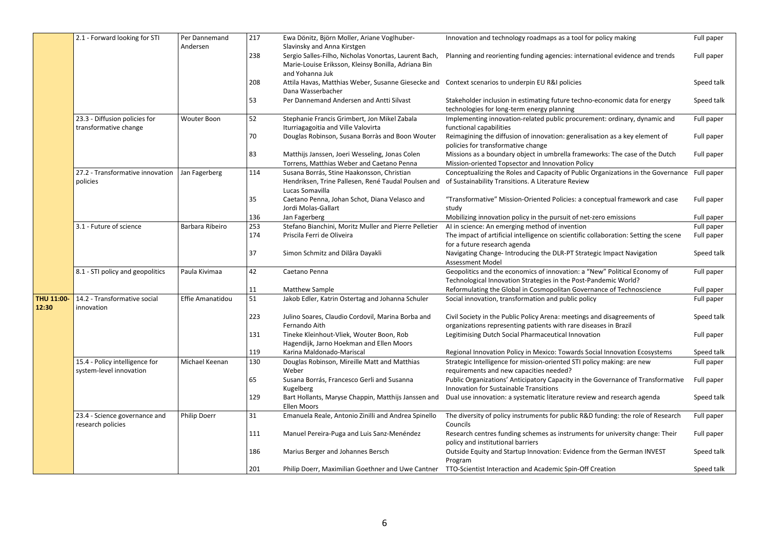|            | 2.1 - Forward looking for STI    | Per Dannemand           | 217 | Ewa Dönitz, Björn Moller, Ariane Voglhuber-                                                      | Innovation and technology roadmaps as a tool for policy making                                                    | Full paper |
|------------|----------------------------------|-------------------------|-----|--------------------------------------------------------------------------------------------------|-------------------------------------------------------------------------------------------------------------------|------------|
|            |                                  | Andersen                |     | Slavinsky and Anna Kirstgen                                                                      |                                                                                                                   |            |
|            |                                  |                         | 238 | Sergio Salles-Filho, Nicholas Vonortas, Laurent Bach,                                            | Planning and reorienting funding agencies: international evidence and trends                                      | Full paper |
|            |                                  |                         |     | Marie-Louise Eriksson, Kleinsy Bonilla, Adriana Bin                                              |                                                                                                                   |            |
|            |                                  |                         |     | and Yohanna Juk                                                                                  |                                                                                                                   |            |
|            |                                  |                         | 208 | Attila Havas, Matthias Weber, Susanne Giesecke and Context scenarios to underpin EU R&I policies |                                                                                                                   | Speed talk |
|            |                                  |                         | 53  | Dana Wasserbacher                                                                                |                                                                                                                   |            |
|            |                                  |                         |     | Per Dannemand Andersen and Antti Silvast                                                         | Stakeholder inclusion in estimating future techno-economic data for energy                                        | Speed talk |
|            |                                  |                         |     |                                                                                                  | technologies for long-term energy planning                                                                        |            |
|            | 23.3 - Diffusion policies for    | Wouter Boon             | 52  | Stephanie Francis Grimbert, Jon Mikel Zabala                                                     | Implementing innovation-related public procurement: ordinary, dynamic and                                         | Full paper |
|            | transformative change            |                         |     | Iturriagagoitia and Ville Valovirta                                                              | functional capabilities                                                                                           |            |
|            |                                  |                         | 70  | Douglas Robinson, Susana Borràs and Boon Wouter                                                  | Reimagining the diffusion of innovation: generalisation as a key element of<br>policies for transformative change | Full paper |
|            |                                  |                         | 83  | Matthijs Janssen, Joeri Wesseling, Jonas Colen                                                   | Missions as a boundary object in umbrella frameworks: The case of the Dutch                                       | Full paper |
|            |                                  |                         |     | Torrens, Matthias Weber and Caetano Penna                                                        | Mission-oriented Topsector and Innovation Policy                                                                  |            |
|            | 27.2 - Transformative innovation | Jan Fagerberg           | 114 | Susana Borrás, Stine Haakonsson, Christian                                                       | Conceptualizing the Roles and Capacity of Public Organizations in the Governance Full paper                       |            |
|            | policies                         |                         |     | Hendriksen, Trine Pallesen, René Taudal Poulsen and                                              | of Sustainability Transitions. A Literature Review                                                                |            |
|            |                                  |                         |     | Lucas Somavilla                                                                                  |                                                                                                                   |            |
|            |                                  |                         | 35  | Caetano Penna, Johan Schot, Diana Velasco and                                                    | "Transformative" Mission-Oriented Policies: a conceptual framework and case                                       | Full paper |
|            |                                  |                         |     | Jordi Molas-Gallart                                                                              | study                                                                                                             |            |
|            |                                  |                         | 136 | Jan Fagerberg                                                                                    | Mobilizing innovation policy in the pursuit of net-zero emissions                                                 | Full paper |
|            | 3.1 - Future of science          | Barbara Ribeiro         | 253 | Stefano Bianchini, Moritz Muller and Pierre Pelletier                                            | AI in science: An emerging method of invention                                                                    | Full paper |
|            |                                  |                         | 174 | Priscila Ferri de Oliveira                                                                       | The impact of artificial intelligence on scientific collaboration: Setting the scene                              | Full paper |
|            |                                  |                         |     |                                                                                                  | for a future research agenda                                                                                      |            |
|            |                                  |                         | 37  | Simon Schmitz and Dilâra Dayakli                                                                 | Navigating Change-Introducing the DLR-PT Strategic Impact Navigation                                              | Speed talk |
|            |                                  |                         |     |                                                                                                  | <b>Assessment Model</b>                                                                                           |            |
|            | 8.1 - STI policy and geopolitics | Paula Kivimaa           | 42  | Caetano Penna                                                                                    | Geopolitics and the economics of innovation: a "New" Political Economy of                                         | Full paper |
|            |                                  |                         |     |                                                                                                  | Technological Innovation Strategies in the Post-Pandemic World?                                                   |            |
|            |                                  |                         | 11  | Matthew Sample                                                                                   | Reformulating the Global in Cosmopolitan Governance of Technoscience                                              | Full paper |
| THU 11:00- | 14.2 - Transformative social     | <b>Effie Amanatidou</b> | 51  | Jakob Edler, Katrin Ostertag and Johanna Schuler                                                 | Social innovation, transformation and public policy                                                               | Full paper |
| 12:30      | innovation                       |                         |     |                                                                                                  |                                                                                                                   |            |
|            |                                  |                         | 223 | Julino Soares, Claudio Cordovil, Marina Borba and                                                | Civil Society in the Public Policy Arena: meetings and disagreements of                                           | Speed talk |
|            |                                  |                         |     | Fernando Aith                                                                                    | organizations representing patients with rare diseases in Brazil                                                  |            |
|            |                                  |                         | 131 | Tineke Kleinhout-Vliek, Wouter Boon, Rob                                                         | Legitimising Dutch Social Pharmaceutical Innovation                                                               | Full paper |
|            |                                  |                         |     | Hagendijk, Jarno Hoekman and Ellen Moors                                                         |                                                                                                                   |            |
|            |                                  |                         | 119 | Karina Maldonado-Mariscal                                                                        | Regional Innovation Policy in Mexico: Towards Social Innovation Ecosystems                                        | Speed talk |
|            | 15.4 - Policy intelligence for   | Michael Keenan          | 130 | Douglas Robinson, Mireille Matt and Matthias                                                     | Strategic Intelligence for mission-oriented STI policy making: are new                                            | Full paper |
|            | system-level innovation          |                         |     | Weber                                                                                            | requirements and new capacities needed?                                                                           |            |
|            |                                  |                         | 65  | Susana Borrás, Francesco Gerli and Susanna                                                       | Public Organizations' Anticipatory Capacity in the Governance of Transformative                                   | Full paper |
|            |                                  |                         |     | Kugelberg                                                                                        | Innovation for Sustainable Transitions                                                                            |            |
|            |                                  |                         | 129 | Bart Hollants, Maryse Chappin, Matthijs Janssen and                                              | Dual use innovation: a systematic literature review and research agenda                                           | Speed talk |
|            |                                  |                         |     | <b>Ellen Moors</b>                                                                               |                                                                                                                   |            |
|            | 23.4 - Science governance and    | Philip Doerr            | 31  | Emanuela Reale, Antonio Zinilli and Andrea Spinello                                              | The diversity of policy instruments for public R&D funding: the role of Research                                  | Full paper |
|            | research policies                |                         |     |                                                                                                  | Councils                                                                                                          |            |
|            |                                  |                         | 111 | Manuel Pereira-Puga and Luis Sanz-Menéndez                                                       | Research centres funding schemes as instruments for university change: Their                                      | Full paper |
|            |                                  |                         |     |                                                                                                  | policy and institutional barriers                                                                                 |            |
|            |                                  |                         | 186 | Marius Berger and Johannes Bersch                                                                | Outside Equity and Startup Innovation: Evidence from the German INVEST                                            | Speed talk |
|            |                                  |                         |     |                                                                                                  | Program                                                                                                           |            |
|            |                                  |                         | 201 |                                                                                                  | Philip Doerr, Maximilian Goethner and Uwe Cantner TTO-Scientist Interaction and Academic Spin-Off Creation        | Speed talk |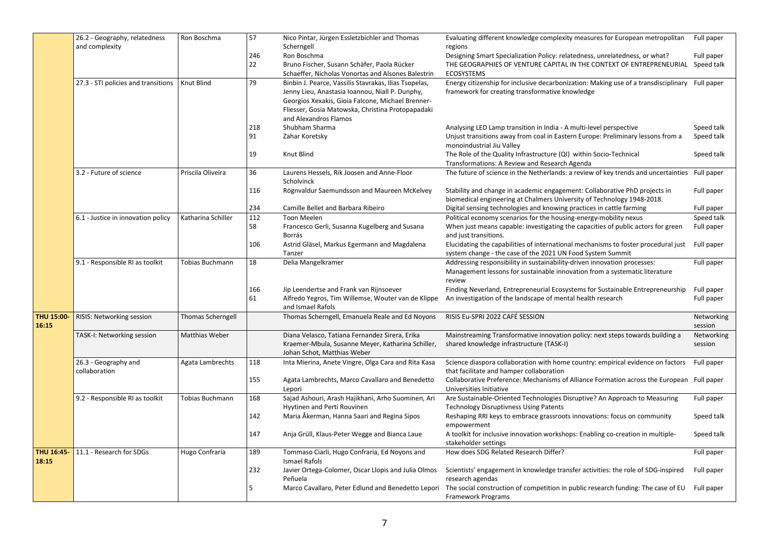|                  | 26.2 - Geography, relatedness       | Ron Boschma              | 57  | Nico Pintar, Jürgen Essletzbichler and Thomas         | Evaluating different knowledge complexity measures for European metropolitan                                                                    | Full paper |
|------------------|-------------------------------------|--------------------------|-----|-------------------------------------------------------|-------------------------------------------------------------------------------------------------------------------------------------------------|------------|
|                  | and complexity                      |                          |     | Scherngell                                            | regions                                                                                                                                         |            |
|                  |                                     |                          | 246 | Ron Boschma                                           | Designing Smart Specialization Policy: relatedness, unrelatedness, or what?                                                                     | Full paper |
|                  |                                     |                          | 22  | Bruno Fischer, Susann Schäfer, Paola Rücker           | THE GEOGRAPHIES OF VENTURE CAPITAL IN THE CONTEXT OF ENTREPRENEURIAL Speed talk                                                                 |            |
|                  |                                     |                          |     | Schaeffer, Nicholas Vonortas and Alsones Balestrin    | <b>ECOSYSTEMS</b>                                                                                                                               |            |
|                  | 27.3 - STI policies and transitions | Knut Blind               | 79  | Binbin J. Pearce, Vassilis Stavrakas, Ilias Tsopelas, | Energy citizenship for inclusive decarbonization: Making use of a transdisciplinary Full paper                                                  |            |
|                  |                                     |                          |     | Jenny Lieu, Anastasia Ioannou, Niall P. Dunphy,       | framework for creating transformative knowledge                                                                                                 |            |
|                  |                                     |                          |     | Georgios Xexakis, Gioia Falcone, Michael Brenner-     |                                                                                                                                                 |            |
|                  |                                     |                          |     | Fliesser, Gosia Matowska, Christina Protopapadaki     |                                                                                                                                                 |            |
|                  |                                     |                          |     | and Alexandros Flamos                                 |                                                                                                                                                 |            |
|                  |                                     |                          | 218 | Shubham Sharma                                        | Analysing LED Lamp transition in India - A multi-level perspective                                                                              | Speed talk |
|                  |                                     |                          | 91  | Zahar Koretsky                                        | Unjust transitions away from coal in Eastern Europe: Preliminary lessons from a                                                                 | Speed talk |
|                  |                                     |                          |     |                                                       | monoindustrial Jiu Valley                                                                                                                       |            |
|                  |                                     |                          | 19  | <b>Knut Blind</b>                                     | The Role of the Quality Infrastructure (QI) within Socio-Technical                                                                              | Speed talk |
|                  |                                     |                          |     |                                                       | Transformations: A Review and Research Agenda                                                                                                   |            |
|                  | 3.2 - Future of science             | Priscila Oliveira        | 36  | Laurens Hessels, Rik Joosen and Anne-Floor            | The future of science in the Netherlands: a review of key trends and uncertainties                                                              | Full paper |
|                  |                                     |                          |     | Scholvinck                                            |                                                                                                                                                 |            |
|                  |                                     |                          | 116 | Rögnvaldur Saemundsson and Maureen McKelvey           | Stability and change in academic engagement: Collaborative PhD projects in                                                                      | Full paper |
|                  |                                     |                          |     |                                                       | biomedical engineering at Chalmers University of Technology 1948-2018.                                                                          |            |
|                  |                                     |                          | 234 | Camille Bellet and Barbara Ribeiro                    | Digital sensing technologies and knowing practices in cattle farming                                                                            | Full paper |
|                  | 6.1 - Justice in innovation policy  | Katharina Schiller       | 112 | <b>Toon Meelen</b>                                    | Political economy scenarios for the housing-energy-mobility nexus                                                                               | Speed talk |
|                  |                                     |                          | 58  | Francesco Gerli, Susanna Kugelberg and Susana         | When just means capable: investigating the capacities of public actors for green                                                                | Full paper |
|                  |                                     |                          |     | Borrás                                                | and just transitions.                                                                                                                           |            |
|                  |                                     |                          | 106 | Astrid Gläsel, Markus Egermann and Magdalena          | Elucidating the capabilities of international mechanisms to foster procedural just                                                              | Full paper |
|                  |                                     |                          |     | Tanzer                                                | system change - the case of the 2021 UN Food System Summit                                                                                      |            |
|                  | 9.1 - Responsible RI as toolkit     | Tobias Buchmann          | 18  | Delia Mangelkramer                                    | Addressing responsibility in sustainability-driven innovation processes:                                                                        | Full paper |
|                  |                                     |                          |     |                                                       | Management lessons for sustainable innovation from a systematic literature                                                                      |            |
|                  |                                     |                          |     |                                                       | review                                                                                                                                          |            |
|                  |                                     |                          | 166 | Jip Leendertse and Frank van Rijnsoever               | Finding Neverland, Entrepreneurial Ecosystems for Sustainable Entrepreneurship                                                                  | Full paper |
|                  |                                     |                          | 61  | Alfredo Yegros, Tim Willemse, Wouter van de Klippe    | An investigation of the landscape of mental health research                                                                                     | Full paper |
|                  |                                     |                          |     | and Ismael Rafols                                     |                                                                                                                                                 |            |
| THU 15:00-       | RISIS: Networking session           | <b>Thomas Scherngell</b> |     | Thomas Scherngell, Emanuela Reale and Ed Noyons       | RISIS Eu-SPRI 2022 CAFÉ SESSION                                                                                                                 | Networking |
| 16:15            |                                     |                          |     |                                                       |                                                                                                                                                 | session    |
|                  | TASK-I: Networking session          | Matthias Weber           |     | Diana Velasco, Tatiana Fernandez Sirera, Erika        | Mainstreaming Transformative innovation policy: next steps towards building a                                                                   | Networking |
|                  |                                     |                          |     | Kraemer-Mbula, Susanne Meyer, Katharina Schiller,     | shared knowledge infrastructure (TASK-I)                                                                                                        | session    |
|                  |                                     |                          |     | Johan Schot, Matthias Weber                           |                                                                                                                                                 |            |
|                  | 26.3 - Geography and                | Agata Lambrechts         | 118 | Inta Mierina, Anete Vingre, Olga Cara and Rita Kasa   | Science diaspora collaboration with home country: empirical evidence on factors                                                                 | Full paper |
|                  | collaboration                       |                          |     |                                                       | that facilitate and hamper collaboration                                                                                                        |            |
|                  |                                     |                          | 155 | Agata Lambrechts, Marco Cavallaro and Benedetto       | Collaborative Preference: Mechanisms of Alliance Formation across the European Full paper                                                       |            |
|                  |                                     |                          |     | Lepori                                                | Universities Initiative                                                                                                                         |            |
|                  | 9.2 - Responsible RI as toolkit     | Tobias Buchmann          | 168 | Sajad Ashouri, Arash Hajikhani, Arho Suominen, Ari    | Are Sustainable-Oriented Technologies Disruptive? An Approach to Measuring                                                                      | Full paper |
|                  |                                     |                          |     | Hyytinen and Perti Rouvinen                           | <b>Technology Disruptivness Using Patents</b>                                                                                                   |            |
|                  |                                     |                          | 142 | Maria Åkerman, Hanna Saari and Regina Sipos           | Reshaping RRI keys to embrace grassroots innovations: focus on community                                                                        | Speed talk |
|                  |                                     |                          |     |                                                       | empowerment                                                                                                                                     |            |
|                  |                                     |                          | 147 | Anja Grüll, Klaus-Peter Wegge and Bianca Laue         | A toolkit for inclusive innovation workshops: Enabling co-creation in multiple-                                                                 | Speed talk |
|                  |                                     |                          |     |                                                       | stakeholder settings                                                                                                                            |            |
| <b>THU 16:45</b> | 11.1 - Research for SDGs            | Hugo Confraria           | 189 | Tommaso Ciarli, Hugo Confraria, Ed Noyons and         | How does SDG Related Research Differ?                                                                                                           | Full paper |
| 18:15            |                                     |                          |     | <b>Ismael Rafols</b>                                  |                                                                                                                                                 |            |
|                  |                                     |                          | 232 | Javier Ortega-Colomer, Oscar Llopis and Julia Olmos   | Scientists' engagement in knowledge transfer activities: the role of SDG-inspired                                                               | Full paper |
|                  |                                     |                          |     | Peñuela                                               | research agendas                                                                                                                                |            |
|                  |                                     |                          | 5   |                                                       | Marco Cavallaro, Peter Edlund and Benedetto Lepori The social construction of competition in public research funding: The case of EU Full paper |            |
|                  |                                     |                          |     |                                                       | <b>Framework Programs</b>                                                                                                                       |            |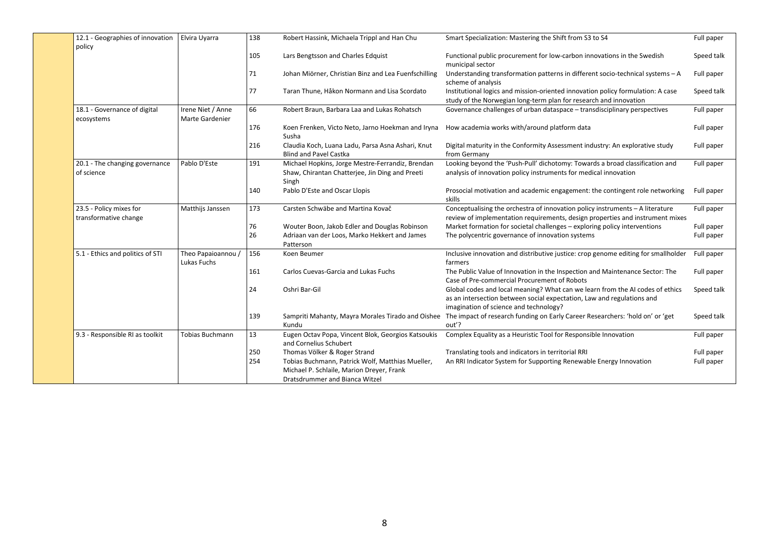| 12.1 - Geographies of innovation<br>policy       | Elvira Uyarra                        | 138 | Robert Hassink, Michaela Trippl and Han Chu                                                                  | Smart Specialization: Mastering the Shift from S3 to S4                                                                                                                                           | Full paper |
|--------------------------------------------------|--------------------------------------|-----|--------------------------------------------------------------------------------------------------------------|---------------------------------------------------------------------------------------------------------------------------------------------------------------------------------------------------|------------|
|                                                  |                                      | 105 | Lars Bengtsson and Charles Edquist                                                                           | Functional public procurement for low-carbon innovations in the Swedish<br>municipal sector                                                                                                       | Speed talk |
|                                                  |                                      | 71  | Johan Miörner, Christian Binz and Lea Fuenfschilling                                                         | Understanding transformation patterns in different socio-technical systems - A<br>scheme of analysis                                                                                              | Full paper |
|                                                  |                                      | 77  | Taran Thune, Håkon Normann and Lisa Scordato                                                                 | Institutional logics and mission-oriented innovation policy formulation: A case<br>study of the Norwegian long-term plan for research and innovation                                              | Speed talk |
| 18.1 - Governance of digital<br>ecosystems       | Irene Niet / Anne<br>Marte Gardenier | 66  | Robert Braun, Barbara Laa and Lukas Rohatsch                                                                 | Governance challenges of urban dataspace – transdisciplinary perspectives                                                                                                                         | Full paper |
|                                                  |                                      | 176 | Koen Frenken, Victo Neto, Jarno Hoekman and Iryna<br>Susha                                                   | How academia works with/around platform data                                                                                                                                                      | Full paper |
|                                                  |                                      | 216 | Claudia Koch, Luana Ladu, Parsa Asna Ashari, Knut<br><b>Blind and Pavel Castka</b>                           | Digital maturity in the Conformity Assessment industry: An explorative study<br>from Germany                                                                                                      | Full paper |
| 20.1 - The changing governance<br>of science     | Pablo D'Este                         | 191 | Michael Hopkins, Jorge Mestre-Ferrandiz, Brendan<br>Shaw, Chirantan Chatterjee, Jin Ding and Preeti<br>Singh | Looking beyond the 'Push-Pull' dichotomy: Towards a broad classification and<br>analysis of innovation policy instruments for medical innovation                                                  | Full paper |
|                                                  |                                      | 140 | Pablo D'Este and Oscar Llopis                                                                                | Prosocial motivation and academic engagement: the contingent role networking<br>skills                                                                                                            | Full paper |
| 23.5 - Policy mixes for<br>transformative change | Matthijs Janssen                     | 173 | Carsten Schwäbe and Martina Kovač                                                                            | Conceptualising the orchestra of innovation policy instruments - A literature<br>review of implementation requirements, design properties and instrument mixes                                    | Full paper |
|                                                  |                                      | 76  | Wouter Boon, Jakob Edler and Douglas Robinson                                                                | Market formation for societal challenges - exploring policy interventions                                                                                                                         | Full paper |
|                                                  |                                      | 26  | Adriaan van der Loos, Marko Hekkert and James<br>Patterson                                                   | The polycentric governance of innovation systems                                                                                                                                                  | Full paper |
| 5.1 - Ethics and politics of STI                 | Theo Papaioannou,<br>Lukas Fuchs     | 156 | Koen Beumer                                                                                                  | Inclusive innovation and distributive justice: crop genome editing for smallholder<br>farmers                                                                                                     | Full paper |
|                                                  |                                      | 161 | Carlos Cuevas-Garcia and Lukas Fuchs                                                                         | The Public Value of Innovation in the Inspection and Maintenance Sector: The<br>Case of Pre-commercial Procurement of Robots                                                                      | Full paper |
|                                                  |                                      | 24  | Oshri Bar-Gil                                                                                                | Global codes and local meaning? What can we learn from the AI codes of ethics<br>as an intersection between social expectation, Law and regulations and<br>imagination of science and technology? | Speed talk |
|                                                  |                                      | 139 | Sampriti Mahanty, Mayra Morales Tirado and Oishee<br>Kundu                                                   | The impact of research funding on Early Career Researchers: 'hold on' or 'get<br>out'?                                                                                                            | Speed talk |
| 9.3 - Responsible RI as toolkit                  | <b>Tobias Buchmann</b>               | 13  | Eugen Octav Popa, Vincent Blok, Georgios Katsoukis<br>and Cornelius Schubert                                 | Complex Equality as a Heuristic Tool for Responsible Innovation                                                                                                                                   | Full paper |
|                                                  |                                      | 250 | Thomas Völker & Roger Strand                                                                                 | Translating tools and indicators in territorial RRI                                                                                                                                               | Full paper |
|                                                  |                                      | 254 | Tobias Buchmann, Patrick Wolf, Matthias Mueller,                                                             | An RRI Indicator System for Supporting Renewable Energy Innovation                                                                                                                                | Full paper |
|                                                  |                                      |     | Michael P. Schlaile, Marion Dreyer, Frank                                                                    |                                                                                                                                                                                                   |            |
|                                                  |                                      |     | Dratsdrummer and Bianca Witzel                                                                               |                                                                                                                                                                                                   |            |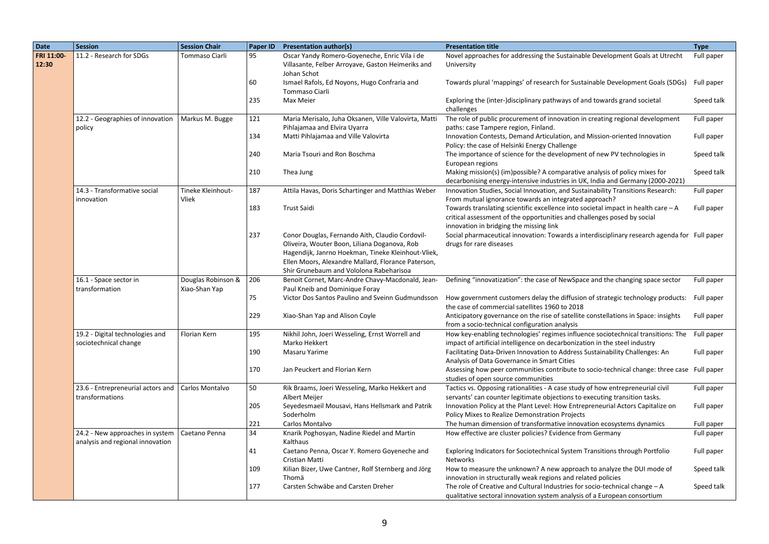| Date                | <b>Session</b>                                                         | <b>Session Chair</b>       | Paper ID | <b>Presentation author(s)</b>                                                                                                                                                                                                                          | <b>Presentation title</b>                                                                                                                                                                                | <b>Type</b> |
|---------------------|------------------------------------------------------------------------|----------------------------|----------|--------------------------------------------------------------------------------------------------------------------------------------------------------------------------------------------------------------------------------------------------------|----------------------------------------------------------------------------------------------------------------------------------------------------------------------------------------------------------|-------------|
| FRI 11:00-<br>12:30 | 11.2 - Research for SDGs                                               | Tommaso Ciarli             | 95       | Oscar Yandy Romero-Goyeneche, Enric Vila i de<br>Villasante, Felber Arroyave, Gaston Heimeriks and<br>Johan Schot                                                                                                                                      | Novel approaches for addressing the Sustainable Development Goals at Utrecht<br>University                                                                                                               | Full paper  |
|                     |                                                                        |                            | 60       | Ismael Rafols, Ed Noyons, Hugo Confraria and<br>Tommaso Ciarli                                                                                                                                                                                         | Towards plural 'mappings' of research for Sustainable Development Goals (SDGs)                                                                                                                           | Full paper  |
|                     |                                                                        |                            | 235      | Max Meier                                                                                                                                                                                                                                              | Exploring the (inter-)disciplinary pathways of and towards grand societal<br>challenges                                                                                                                  | Speed talk  |
|                     | 12.2 - Geographies of innovation<br>policy                             | Markus M. Bugge            | 121      | Maria Merisalo, Juha Oksanen, Ville Valovirta, Matti<br>Pihlajamaa and Elvira Uyarra                                                                                                                                                                   | The role of public procurement of innovation in creating regional development<br>paths: case Tampere region, Finland.                                                                                    | Full paper  |
|                     |                                                                        |                            | 134      | Matti Pihlajamaa and Ville Valovirta                                                                                                                                                                                                                   | Innovation Contests, Demand Articulation, and Mission-oriented Innovation<br>Policy: the case of Helsinki Energy Challenge                                                                               | Full paper  |
|                     |                                                                        |                            | 240      | Maria Tsouri and Ron Boschma                                                                                                                                                                                                                           | The importance of science for the development of new PV technologies in<br>European regions                                                                                                              | Speed talk  |
|                     |                                                                        |                            | 210      | Thea Jung                                                                                                                                                                                                                                              | Making mission(s) (im)possible? A comparative analysis of policy mixes for<br>decarbonising energy-intensive industries in UK, India and Germany (2000-2021)                                             | Speed talk  |
|                     | 14.3 - Transformative social<br>innovation                             | Tineke Kleinhout-<br>Vliek | 187      | Attila Havas, Doris Schartinger and Matthias Weber                                                                                                                                                                                                     | Innovation Studies, Social Innovation, and Sustainability Transitions Research:<br>From mutual ignorance towards an integrated approach?                                                                 | Full paper  |
|                     |                                                                        |                            | 183      | <b>Trust Saidi</b>                                                                                                                                                                                                                                     | Towards translating scientific excellence into societal impact in health care $-A$<br>critical assessment of the opportunities and challenges posed by social<br>innovation in bridging the missing link | Full paper  |
|                     |                                                                        |                            | 237      | Conor Douglas, Fernando Aith, Claudio Cordovil-<br>Oliveira, Wouter Boon, Liliana Doganova, Rob<br>Hagendijk, Janrno Hoekman, Tineke Kleinhout-Vliek,<br>Ellen Moors, Alexandre Mallard, Florance Paterson,<br>Shir Grunebaum and Vololona Rabeharisoa | Social pharmaceutical innovation: Towards a interdisciplinary research agenda for Full paper<br>drugs for rare diseases                                                                                  |             |
|                     | 16.1 - Space sector in                                                 | Douglas Robinson &         | 206      | Benoit Cornet, Marc-Andre Chavy-Macdonald, Jean-                                                                                                                                                                                                       | Defining "innovatization": the case of NewSpace and the changing space sector                                                                                                                            | Full paper  |
|                     | transformation                                                         | Xiao-Shan Yap              | 75       | Paul Kneib and Dominique Foray<br>Victor Dos Santos Paulino and Sveinn Gudmundsson                                                                                                                                                                     | How government customers delay the diffusion of strategic technology products: Full paper                                                                                                                |             |
|                     |                                                                        |                            | 229      | Xiao-Shan Yap and Alison Coyle                                                                                                                                                                                                                         | the case of commercial satellites 1960 to 2018<br>Anticipatory governance on the rise of satellite constellations in Space: insights<br>from a socio-technical configuration analysis                    | Full paper  |
|                     | 19.2 - Digital technologies and<br>sociotechnical change               | Florian Kern               | 195      | Nikhil John, Joeri Wesseling, Ernst Worrell and<br>Marko Hekkert                                                                                                                                                                                       | How key-enabling technologies' regimes influence sociotechnical transitions: The<br>impact of artificial intelligence on decarbonization in the steel industry                                           | Full paper  |
|                     |                                                                        |                            | 190      | Masaru Yarime                                                                                                                                                                                                                                          | Facilitating Data-Driven Innovation to Address Sustainability Challenges: An<br>Analysis of Data Governance in Smart Cities                                                                              | Full paper  |
|                     |                                                                        |                            | 170      | Jan Peuckert and Florian Kern                                                                                                                                                                                                                          | Assessing how peer communities contribute to socio-technical change: three case Full paper<br>studies of open source communities                                                                         |             |
|                     | 23.6 - Entrepreneurial actors and   Carlos Montalvo<br>transformations |                            | 50       | Rik Braams, Joeri Wesseling, Marko Hekkert and<br>Albert Meijer                                                                                                                                                                                        | Tactics vs. Opposing rationalities - A case study of how entrepreneurial civil<br>servants' can counter legitimate objections to executing transition tasks.                                             | Full paper  |
|                     |                                                                        |                            | 205      | Seyedesmaeil Mousavi, Hans Hellsmark and Patrik<br>Soderholm                                                                                                                                                                                           | Innovation Policy at the Plant Level: How Entrepreneurial Actors Capitalize on<br>Policy Mixes to Realize Demonstration Projects                                                                         | Full paper  |
|                     |                                                                        |                            | 221      | Carlos Montalvo                                                                                                                                                                                                                                        | The human dimension of transformative innovation ecosystems dynamics                                                                                                                                     | Full paper  |
|                     | 24.2 - New approaches in system<br>analysis and regional innovation    | Caetano Penna              | 34       | Knarik Poghosyan, Nadine Riedel and Martin<br>Kalthaus                                                                                                                                                                                                 | How effective are cluster policies? Evidence from Germany                                                                                                                                                | Full paper  |
|                     |                                                                        |                            | 41       | Caetano Penna, Oscar Y. Romero Goyeneche and<br>Cristian Matti                                                                                                                                                                                         | Exploring Indicators for Sociotechnical System Transitions through Portfolio<br>Networks                                                                                                                 | Full paper  |
|                     |                                                                        |                            | 109      | Kilian Bizer, Uwe Cantner, Rolf Sternberg and Jörg<br>Thomä                                                                                                                                                                                            | How to measure the unknown? A new approach to analyze the DUI mode of<br>innovation in structurally weak regions and related policies                                                                    | Speed talk  |
|                     |                                                                        |                            | 177      | Carsten Schwäbe and Carsten Dreher                                                                                                                                                                                                                     | The role of Creative and Cultural Industries for socio-technical change - A<br>qualitative sectoral innovation system analysis of a European consortium                                                  | Speed talk  |